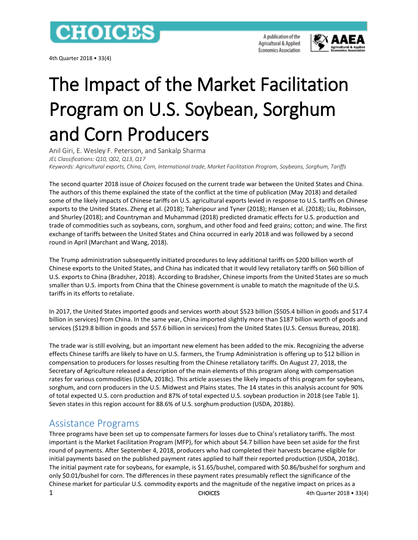

4th Quarter 2018 • 33(4)

A publication of the Agricultural & Applied **Economics Association** 



# The Impact of the Market Facilitation Program on U.S. Soybean, Sorghum and Corn Producers

Anil Giri, E. Wesley F. Peterson, and Sankalp Sharma *JEL Classifications: Q10, Q02, Q13, Q17 Keywords: Agricultural exports, China, Corn, International trade, Market Facilitation Program, Soybeans, Sorghum, Tariffs*

The second quarter 2018 issue of *Choices* focused on the current trade war between the United States and China. The authors of this theme explained the state of the conflict at the time of publication (May 2018) and detailed some of the likely impacts of Chinese tariffs on U.S. agricultural exports levied in response to U.S. tariffs on Chinese exports to the United States. Zheng et al. (2018); Taheripour and Tyner (2018); Hansen et al. (2018); Liu, Robinson, and Shurley (2018); and Countryman and Muhammad (2018) predicted dramatic effects for U.S. production and trade of commodities such as soybeans, corn, sorghum, and other food and feed grains; cotton; and wine. The first exchange of tariffs between the United States and China occurred in early 2018 and was followed by a second round in April (Marchant and Wang, 2018).

The Trump administration subsequently initiated procedures to levy additional tariffs on \$200 billion worth of Chinese exports to the United States, and China has indicated that it would levy retaliatory tariffs on \$60 billion of U.S. exports to China (Bradsher, 2018). According to Bradsher, Chinese imports from the United States are so much smaller than U.S. imports from China that the Chinese government is unable to match the magnitude of the U.S. tariffs in its efforts to retaliate.

In 2017, the United States imported goods and services worth about \$523 billion (\$505.4 billion in goods and \$17.4 billion in services) from China. In the same year, China imported slightly more than \$187 billion worth of goods and services (\$129.8 billion in goods and \$57.6 billion in services) from the United States (U.S. Census Bureau, 2018).

The trade war is still evolving, but an important new element has been added to the mix. Recognizing the adverse effects Chinese tariffs are likely to have on U.S. farmers, the Trump Administration is offering up to \$12 billion in compensation to producers for losses resulting from the Chinese retaliatory tariffs. On August 27, 2018, the Secretary of Agriculture released a description of the main elements of this program along with compensation rates for various commodities (USDA, 2018c). This article assesses the likely impacts of this program for soybeans, sorghum, and corn producers in the U.S. Midwest and Plains states. The 14 states in this analysis account for 90% of total expected U.S. corn production and 87% of total expected U.S. soybean production in 2018 (see Table 1). Seven states in this region account for 88.6% of U.S. sorghum production (USDA, 2018b).

## Assistance Programs

1 CHOICES 2118 • 33(4) Three programs have been set up to compensate farmers for losses due to China's retaliatory tariffs. The most important is the Market Facilitation Program (MFP), for which about \$4.7 billion have been set aside for the first round of payments. After September 4, 2018, producers who had completed their harvests became eligible for initial payments based on the published payment rates applied to half their reported production (USDA, 2018c). The initial payment rate for soybeans, for example, is \$1.65/bushel, compared with \$0.86/bushel for sorghum and only \$0.01/bushel for corn. The differences in these payment rates presumably reflect the significance of the Chinese market for particular U.S. commodity exports and the magnitude of the negative impact on prices as a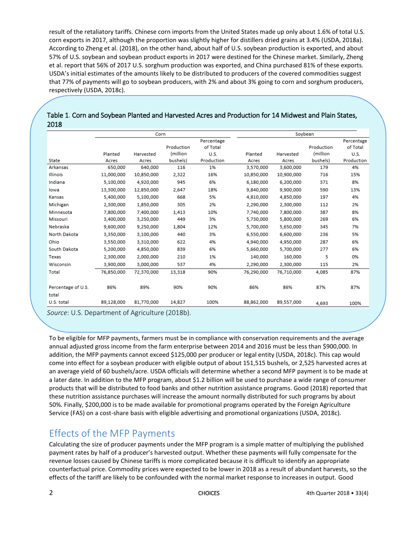result of the retaliatory tariffs. Chinese corn imports from the United States made up only about 1.6% of total U.S. corn exports in 2017, although the proportion was slightly higher for distillers dried grains at 3.4% (USDA, 2018a). According to Zheng et al. (2018), on the other hand, about half of U.S. soybean production is exported, and about 57% of U.S. soybean and soybean product exports in 2017 were destined for the Chinese market. Similarly, Zheng et al. report that 56% of 2017 U.S. sorghum production was exported, and China purchased 81% of these exports. USDA's initial estimates of the amounts likely to be distributed to producers of the covered commodities suggest that 77% of payments will go to soybean producers, with 2% and about 3% going to corn and sorghum producers, respectively (USDA, 2018c).

|                             |            | Corn       |            |            | Soybean    |            |            |            |  |
|-----------------------------|------------|------------|------------|------------|------------|------------|------------|------------|--|
|                             |            |            |            | Percentage |            |            |            | Percentage |  |
|                             |            |            | Production | of Total   |            |            | Production | of Total   |  |
|                             | Planted    | Harvested  | (million   | U.S.       | Planted    | Harvested  | (million   | U.S.       |  |
| State                       | Acres      | Acres      | bushels)   | Production | Acres      | Acres      | bushels)   | Production |  |
| Arkansas                    | 650,000    | 640,000    | 116        | 1%         | 3,570,000  | 3,600,000  | 179        | 4%         |  |
| Illinois                    | 11,000,000 | 10,850,000 | 2,322      | 16%        | 10,850,000 | 10,900,000 | 716        | 15%        |  |
| Indiana                     | 5,100,000  | 4,920,000  | 945        | 6%         | 6,180,000  | 6,200,000  | 371        | 8%         |  |
| lowa                        | 13,300,000 | 12,850,000 | 2,647      | 18%        | 9,840,000  | 9,900,000  | 590        | 13%        |  |
| Kansas                      | 5,400,000  | 5,100,000  | 668        | 5%         | 4,810,000  | 4,850,000  | 197        | 4%         |  |
| Michigan                    | 2,300,000  | 1,850,000  | 305        | 2%         | 2,290,000  | 2,300,000  | 112        | 2%         |  |
| Minnesota                   | 7,800,000  | 7,400,000  | 1,413      | 10%        | 7,740,000  | 7,800,000  | 387        | 8%         |  |
| Missouri                    | 3,400,000  | 3,250,000  | 449        | 3%         | 5,730,000  | 5,800,000  | 269        | 6%         |  |
| Nebraska                    | 9,600,000  | 9,250,000  | 1,804      | 12%        | 5,700,000  | 5,650,000  | 345        | 7%         |  |
| North Dakota                | 3,350,000  | 3,100,000  | 440        | 3%         | 6,550,000  | 6,600,000  | 236        | 5%         |  |
| Ohio                        | 3,550,000  | 3,310,000  | 622        | 4%         | 4,940,000  | 4,950,000  | 287        | 6%         |  |
| South Dakota                | 5,200,000  | 4,850,000  | 839        | 6%         | 5,660,000  | 5,700,000  | 277        | 6%         |  |
| Texas                       | 2,300,000  | 2,000,000  | 210        | 1%         | 140,000    | 160,000    | 5          | 0%         |  |
| Wisconsin                   | 3,900,000  | 3,000,000  | 537        | 4%         | 2,290,000  | 2,300,000  | 115        | 2%         |  |
| Total                       | 76,850,000 | 72,370,000 | 13,318     | 90%        | 76,290,000 | 76,710,000 | 4.085      | 87%        |  |
| Percentage of U.S.<br>total | 86%        | 89%        | 90%        | 90%        | 86%        | 86%        | 87%        | 87%        |  |
| U.S. total                  | 89,128,000 | 81.770.000 | 14,827     | 100%       | 88,862,000 | 89,557,000 | 4,693      | 100%       |  |

#### Table 1. Corn and Soybean Planted and Harvested Acres and Production for 14 Midwest and Plain States, 2018

*Source*: U.S. Department of Agriculture (2018b).

To be eligible for MFP payments, farmers must be in compliance with conservation requirements and the average annual adjusted gross income from the farm enterprise between 2014 and 2016 must be less than \$900,000. In addition, the MFP payments cannot exceed \$125,000 per producer or legal entity (USDA, 2018c). This cap would come into effect for a soybean producer with eligible output of about 151,515 bushels, or 2,525 harvested acres at an average yield of 60 bushels/acre. USDA officials will determine whether a second MFP payment is to be made at a later date. In addition to the MFP program, about \$1.2 billion will be used to purchase a wide range of consumer products that will be distributed to food banks and other nutrition assistance programs. Good (2018) reported that these nutrition assistance purchases will increase the amount normally distributed for such programs by about 50%. Finally, \$200,000 is to be made available for promotional programs operated by the Foreign Agriculture Service (FAS) on a cost-share basis with eligible advertising and promotional organizations (USDA, 2018c).

## Effects of the MFP Payments

Calculating the size of producer payments under the MFP program is a simple matter of multiplying the published payment rates by half of a producer's harvested output. Whether these payments will fully compensate for the revenue losses caused by Chinese tariffs is more complicated because it is difficult to identify an appropriate counterfactual price. Commodity prices were expected to be lower in 2018 as a result of abundant harvests, so the effects of the tariff are likely to be confounded with the normal market response to increases in output. Good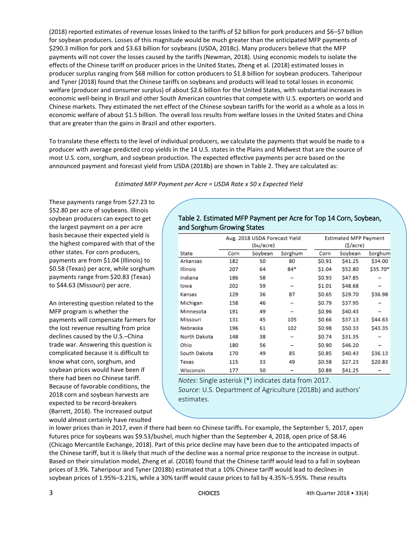(2018) reported estimates of revenue losses linked to the tariffs of \$2 billion for pork producers and \$6–\$7 billion for soybean producers. Losses of this magnitude would be much greater than the anticipated MFP payments of \$290.3 million for pork and \$3.63 billion for soybeans (USDA, 2018c). Many producers believe that the MFP payments will not cover the losses caused by the tariffs (Newman, 2018). Using economic models to isolate the effects of the Chinese tariff on producer prices in the United States, Zheng et al. (2018) estimated losses in producer surplus ranging from \$68 million for cotton producers to \$1.8 billion for soybean producers. Taheripour and Tyner (2018) found that the Chinese tariffs on soybeans and products will lead to total losses in economic welfare (producer and consumer surplus) of about \$2.6 billion for the United States, with substantial increases in economic well-being in Brazil and other South American countries that compete with U.S. exporters on world and Chinese markets. They estimated the net effect of the Chinese soybean tariffs for the world as a whole as a loss in economic welfare of about \$1.5 billion. The overall loss results from welfare losses in the United States and China that are greater than the gains in Brazil and other exporters.

To translate these effects to the level of individual producers, we calculate the payments that would be made to a producer with average predicted crop yields in the 14 U.S. states in the Plains and Midwest that are the source of most U.S. corn, sorghum, and soybean production. The expected effective payments per acre based on the announced payment and forecast yield from USDA (2018b) are shown in Table 2. They are calculated as:

*Estimated MFP Payment per Acre = USDA Rate x 50 x Expected Yield*

These payments range from \$27.23 to \$52.80 per acre of soybeans. Illinois soybean producers can expect to get the largest payment on a per acre basis because their expected yield is the highest compared with that of the other states. For corn producers, payments are from \$1.04 (Illinois) to \$0.58 (Texas) per acre, while sorghum payments range from \$20.83 (Texas) to \$44.63 (Missouri) per acre.

An interesting question related to the MFP program is whether the payments will compensate farmers for the lost revenue resulting from price declines caused by the U.S.–China trade war. Answering this question is complicated because it is difficult to know what corn, sorghum, and soybean prices would have been if there had been no Chinese tariff. Because of favorable conditions, the 2018 corn and soybean harvests are expected to be record-breakers (Barrett, 2018). The increased output would almost certainly have resulted

#### Table 2. Estimated MFP Payment per Acre for Top 14 Corn, Soybean, and Sorghum Growing States

|              |      | Aug. 2018 USDA Forecast Yield |         |           | Estimated MFP Payment |          |  |  |
|--------------|------|-------------------------------|---------|-----------|-----------------------|----------|--|--|
|              |      | (bu/acre)                     |         | (\$/acre) |                       |          |  |  |
| State        | Corn | Soybean                       | Sorghum | Corn      | Soybean               | Sorghum  |  |  |
| Arkansas     | 182  | 50                            | 80      | SO.91     | \$41.25               | \$34.00  |  |  |
| Illinois     | 207  | 64                            | 84*     | \$1.04    | \$52.80               | \$35.70* |  |  |
| Indiana      | 186  | 58                            |         | SO.93     | S47.85                |          |  |  |
| lowa         | 202  | 59                            |         | \$1.01    | \$48.68               |          |  |  |
| Kansas       | 129  | 36                            | 87      | \$0.65    | \$29.70               | \$36.98  |  |  |
| Michigan     | 158  | 46                            |         | SO.79     | \$37.95               |          |  |  |
| Minnesota    | 191  | 49                            | -       | \$0.96    | \$40.43               |          |  |  |
| Missouri     | 131  | 45                            | 105     | S0.66     | \$37.13               | \$44.63  |  |  |
| Nebraska     | 196  | 61                            | 102     | \$0.98    | \$50.33               | \$43.35  |  |  |
| North Dakota | 148  | 38                            |         | SO.74     | \$31.35               |          |  |  |
| Ohio         | 180  | 56                            | -       | S0.90     | S46.20                |          |  |  |
| South Dakota | 170  | 49                            | 85      | S0.85     | \$40.43               | \$36.13  |  |  |
| Texas        | 115  | 33                            | 49      | SO.58     | \$27.23               | \$20.83  |  |  |
| Wisconsin    | 177  | 50                            |         | \$0.89    | \$41.25               |          |  |  |

*Notes*: Single asterisk (\*) indicates data from 2017.

*Source*: U.S. Department of Agriculture (2018b) and authors' estimates.

in lower prices than in 2017, even if there had been no Chinese tariffs. For example, the September 5, 2017, open futures price for soybeans was \$9.53/bushel, much higher than the September 4, 2018, open price of \$8.46 (Chicago Mercantile Exchange, 2018). Part of this price decline may have been due to the anticipated impacts of the Chinese tariff, but it is likely that much of the decline was a normal price response to the increase in output. Based on their simulation model, Zheng et al. (2018) found that the Chinese tariff would lead to a fall in soybean prices of 3.9%. Taheripour and Tyner (2018b) estimated that a 10% Chinese tariff would lead to declines in soybean prices of 1.95%–3.21%, while a 30% tariff would cause prices to fall by 4.35%–5.95%. These results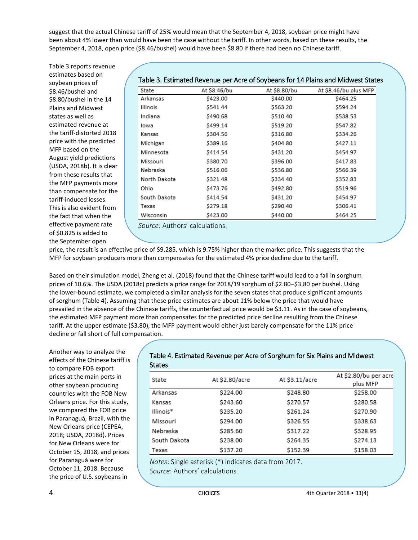suggest that the actual Chinese tariff of 25% would mean that the September 4, 2018, soybean price might have been about 4% lower than would have been the case without the tariff. In other words, based on these results, the September 4, 2018, open price (\$8.46/bushel) would have been \$8.80 if there had been no Chinese tariff.

Table 3 reports revenue estimates based on soybean prices of \$8.46/bushel and \$8.80/bushel in the 14 Plains and Midwest states as well as estimated revenue at the tariff-distorted 2018 price with the predicted MFP based on the August yield predictions (USDA, 2018b). It is clear from these results that the MFP payments more than compensate for the tariff-induced losses. This is also evident from the fact that when the effective payment rate of \$0.825 is added to the September open

|                                |              |              | able 5. Estimated Revenue per Acre or Soybearls for 14 Plains and Mildwest States |  |  |  |  |  |
|--------------------------------|--------------|--------------|-----------------------------------------------------------------------------------|--|--|--|--|--|
| State                          | At \$8.46/bu | At \$8.80/bu | At \$8.46/bu plus MFP                                                             |  |  |  |  |  |
| Arkansas                       | \$423.00     | \$440.00     | \$464.25                                                                          |  |  |  |  |  |
| <b>Illinois</b>                | \$541.44     | \$563.20     | \$594.24                                                                          |  |  |  |  |  |
| Indiana                        | \$490.68     | \$510.40     | \$538.53                                                                          |  |  |  |  |  |
| lowa                           | \$499.14     | \$519.20     | \$547.82                                                                          |  |  |  |  |  |
| Kansas                         | \$304.56     | \$316.80     | \$334.26                                                                          |  |  |  |  |  |
| Michigan                       | \$389.16     | \$404.80     | \$427.11                                                                          |  |  |  |  |  |
| Minnesota                      | \$414.54     | \$431.20     | \$454.97                                                                          |  |  |  |  |  |
| Missouri                       | \$380.70     | \$396.00     | \$417.83                                                                          |  |  |  |  |  |
| Nebraska                       | \$516.06     | \$536.80     | \$566.39                                                                          |  |  |  |  |  |
| North Dakota                   | \$321.48     | \$334.40     | \$352.83                                                                          |  |  |  |  |  |
| Ohio                           | \$473.76     | \$492.80     | \$519.96                                                                          |  |  |  |  |  |
| South Dakota                   | \$414.54     | \$431.20     | \$454.97                                                                          |  |  |  |  |  |
| Texas                          | \$279.18     | \$290.40     | \$306.41                                                                          |  |  |  |  |  |
| Wisconsin                      | \$423.00     | \$440.00     | \$464.25                                                                          |  |  |  |  |  |
| Source: Authors' calculations. |              |              |                                                                                   |  |  |  |  |  |

#### Table 3. Estimated Revenue per Acre of Soybeans for 14 Plains and Midwest States

price, the result is an effective price of \$9.285, which is 9.75% higher than the market price. This suggests that the MFP for soybean producers more than compensates for the estimated 4% price decline due to the tariff.

Based on their simulation model, Zheng et al. (2018) found that the Chinese tariff would lead to a fall in sorghum prices of 10.6%. The USDA (2018c) predicts a price range for 2018/19 sorghum of \$2.80–\$3.80 per bushel. Using the lower-bound estimate, we completed a similar analysis for the seven states that produce significant amounts of sorghum (Table 4). Assuming that these price estimates are about 11% below the price that would have prevailed in the absence of the Chinese tariffs, the counterfactual price would be \$3.11. As in the case of soybeans, the estimated MFP payment more than compensates for the predicted price decline resulting from the Chinese tariff. At the upper estimate (\$3.80), the MFP payment would either just barely compensate for the 11% price decline or fall short of full compensation.

Another way to analyze the effects of the Chinese tariff is to compare FOB export prices at the main ports in other soybean producing countries with the FOB New Orleans price. For this study, we compared the FOB price in Paranaguá, Brazil, with the New Orleans price (CEPEA, 2018; USDA, 2018d). Prices for New Orleans were for October 15, 2018, and prices for Paranaguá were for October 11, 2018. Because the price of U.S. soybeans in

#### Table 4. Estimated Revenue per Acre of Sorghum for Six Plains and Midwest **States**

| State        | At \$2.80/acre | At \$3.11/acre | At \$2.80/bu per acre<br>plus MFP |
|--------------|----------------|----------------|-----------------------------------|
| Arkansas     | \$224.00       | \$248.80       | \$258.00                          |
| Kansas       | \$243.60       | \$270.57       | \$280.58                          |
| Illinois*    | \$235.20       | \$261.24       | \$270.90                          |
| Missouri     | \$294.00       | \$326.55       | \$338.63                          |
| Nebraska     | \$285.60       | \$317.22       | \$328.95                          |
| South Dakota | \$238.00       | \$264.35       | \$274.13                          |
| Texas        | \$137.20       | \$152.39       | \$158.03                          |

*Source*: Authors' calculations.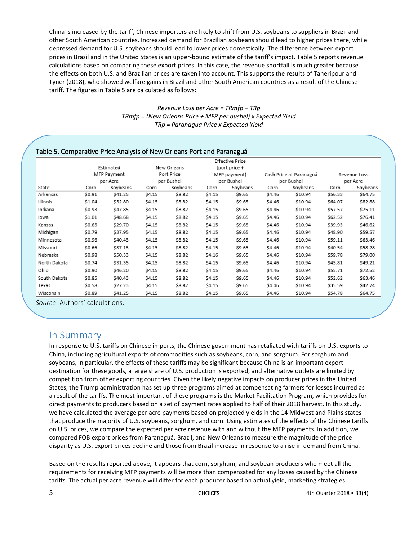China is increased by the tariff, Chinese importers are likely to shift from U.S. soybeans to suppliers in Brazil and other South American countries. Increased demand for Brazilian soybeans should lead to higher prices there, while depressed demand for U.S. soybeans should lead to lower prices domestically. The difference between export prices in Brazil and in the United States is an upper-bound estimate of the tariff's impact. Table 5 reports revenue calculations based on comparing these export prices. In this case, the revenue shortfall is much greater because the effects on both U.S. and Brazilian prices are taken into account. This supports the results of Taheripour and Tyner (2018), who showed welfare gains in Brazil and other South American countries as a result of the Chinese tariff. The figures in Table 5 are calculated as follows:

> *Revenue Loss per Acre = TRmfp – TRp TRmfp = (New Orleans Price + MFP per bushel) x Expected Yield TRp = Paranagua Price x Expected Yield*

|              |                          |          |                           |          |                               | ------     |                         |            |              |          |  |
|--------------|--------------------------|----------|---------------------------|----------|-------------------------------|------------|-------------------------|------------|--------------|----------|--|
|              | <b>Effective Price</b>   |          |                           |          |                               |            |                         |            |              |          |  |
|              | Estimated<br>MFP Payment |          | New Orleans<br>Port Price |          | (port price +<br>MFP payment) |            |                         |            |              |          |  |
|              |                          |          |                           |          |                               |            | Cash Price at Paranaguá |            | Revenue Loss |          |  |
|              | per Acre                 |          | per Bushel                |          |                               | per Bushel |                         | per Bushel |              | per Acre |  |
| State        | Corn                     | Soybeans | Corn                      | Soybeans | Corn                          | Soybeans   | Corn                    | Soybeans   | Corn         | Soybeans |  |
| Arkansas     | \$0.91                   | \$41.25  | \$4.15                    | S8.82    | \$4.15                        | \$9.65     | \$4.46                  | \$10.94    | \$56.33      | \$64.75  |  |
| Illinois     | \$1.04                   | \$52.80  | \$4.15                    | S8.82    | \$4.15                        | \$9.65     | \$4.46                  | \$10.94    | \$64.07      | \$82.88  |  |
| Indiana      | \$0.93                   | \$47.85  | \$4.15                    | S8.82    | \$4.15                        | \$9.65     | \$4.46                  | \$10.94    | \$57.57      | \$75.11  |  |
| lowa         | \$1.01                   | \$48.68  | \$4.15                    | \$8.82   | \$4.15                        | \$9.65     | \$4.46                  | \$10.94    | \$62.52      | \$76.41  |  |
| Kansas       | SO.65                    | \$29.70  | \$4.15                    | S8.82    | \$4.15                        | \$9.65     | \$4.46                  | \$10.94    | \$39.93      | \$46.62  |  |
| Michigan     | \$0.79                   | \$37.95  | \$4.15                    | \$8.82   | \$4.15                        | \$9.65     | \$4.46                  | \$10.94    | \$48.90      | \$59.57  |  |
| Minnesota    | \$0.96                   | \$40.43  | \$4.15                    | S8.82    | \$4.15                        | \$9.65     | \$4.46                  | \$10.94    | \$59.11      | \$63.46  |  |
| Missouri     | \$0.66                   | \$37.13  | \$4.15                    | S8.82    | \$4.15                        | \$9.65     | \$4.46                  | \$10.94    | \$40.54      | \$58.28  |  |
| Nebraska     | \$0.98                   | \$50.33  | \$4.15                    | \$8.82   | \$4.16                        | \$9.65     | \$4.46                  | \$10.94    | \$59.78      | \$79.00  |  |
| North Dakota | S0.74                    | \$31.35  | \$4.15                    | S8.82    | \$4.15                        | \$9.65     | \$4.46                  | \$10.94    | \$45.81      | \$49.21  |  |
| Ohio         | \$0.90                   | \$46.20  | \$4.15                    | \$8.82   | \$4.15                        | \$9.65     | \$4.46                  | \$10.94    | \$55.71      | \$72.52  |  |
| South Dakota | \$0.85                   | \$40.43  | \$4.15                    | \$8.82   | \$4.15                        | \$9.65     | \$4.46                  | \$10.94    | \$52.62      | \$63.46  |  |
| Texas        | \$0.58                   | \$27.23  | \$4.15                    | \$8.82   | \$4.15                        | \$9.65     | \$4.46                  | \$10.94    | \$35.59      | \$42.74  |  |
| Wisconsin    | \$0.89                   | \$41.25  | \$4.15                    | \$8.82   | \$4.15                        | \$9.65     | \$4.46                  | \$10.94    | \$54.78      | \$64.75  |  |

#### Table 5. Comparative Price Analysis of New Orleans Port and Paranaguá

*Source*: Authors' calculations.

### In Summary

In response to U.S. tariffs on Chinese imports, the Chinese government has retaliated with tariffs on U.S. exports to China, including agricultural exports of commodities such as soybeans, corn, and sorghum. For sorghum and soybeans, in particular, the effects of these tariffs may be significant because China is an important export destination for these goods, a large share of U.S. production is exported, and alternative outlets are limited by competition from other exporting countries. Given the likely negative impacts on producer prices in the United States, the Trump administration has set up three programs aimed at compensating farmers for losses incurred as a result of the tariffs. The most important of these programs is the Market Facilitation Program, which provides for direct payments to producers based on a set of payment rates applied to half of their 2018 harvest. In this study, we have calculated the average per acre payments based on projected yields in the 14 Midwest and Plains states that produce the majority of U.S. soybeans, sorghum, and corn. Using estimates of the effects of the Chinese tariffs on U.S. prices, we compare the expected per acre revenue with and without the MFP payments. In addition, we compared FOB export prices from Paranaguá, Brazil, and New Orleans to measure the magnitude of the price disparity as U.S. export prices decline and those from Brazil increase in response to a rise in demand from China.

Based on the results reported above, it appears that corn, sorghum, and soybean producers who meet all the requirements for receiving MFP payments will be more than compensated for any losses caused by the Chinese tariffs. The actual per acre revenue will differ for each producer based on actual yield, marketing strategies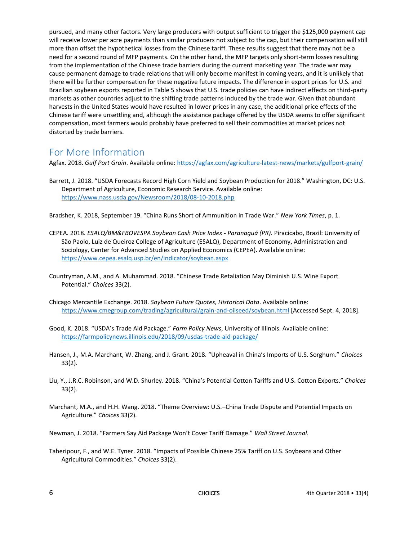pursued, and many other factors. Very large producers with output sufficient to trigger the \$125,000 payment cap will receive lower per acre payments than similar producers not subject to the cap, but their compensation will still more than offset the hypothetical losses from the Chinese tariff. These results suggest that there may not be a need for a second round of MFP payments. On the other hand, the MFP targets only short-term losses resulting from the implementation of the Chinese trade barriers during the current marketing year. The trade war may cause permanent damage to trade relations that will only become manifest in coming years, and it is unlikely that there will be further compensation for these negative future impacts. The difference in export prices for U.S. and Brazilian soybean exports reported in Table 5 shows that U.S. trade policies can have indirect effects on third-party markets as other countries adjust to the shifting trade patterns induced by the trade war. Given that abundant harvests in the United States would have resulted in lower prices in any case, the additional price effects of the Chinese tariff were unsettling and, although the assistance package offered by the USDA seems to offer significant compensation, most farmers would probably have preferred to sell their commodities at market prices not distorted by trade barriers.

## For More Information

Agfax. 2018. *Gulf Port Grain*. Available online[: https://agfax.com/agriculture-latest-news/markets/gulfport-grain/](https://agfax.com/agriculture-latest-news/markets/gulfport-grain/)

Barrett, J. 2018. "USDA Forecasts Record High Corn Yield and Soybean Production for 2018." Washington, DC: U.S. Department of Agriculture, Economic Research Service. Available online: <https://www.nass.usda.gov/Newsroom/2018/08-10-2018.php>

Bradsher, K. 2018, September 19. "China Runs Short of Ammunition in Trade War." *New York Times*, p. 1.

- CEPEA. 2018. *ESALQ/BM&FBOVESPA Soybean Cash Price Index - Paranaguá (PR)*. Piracicabo, Brazil: University of São Paolo, Luiz de Queiroz College of Agriculture (ESALQ), Department of Economy, Administration and Sociology, Center for Advanced Studies on Applied Economics (CEPEA). Available online: <https://www.cepea.esalq.usp.br/en/indicator/soybean.aspx>
- Countryman, A.M., and A. Muhammad. 2018. "Chinese Trade Retaliation May Diminish U.S. Wine Export Potential." *Choices* 33(2).
- Chicago Mercantile Exchange. 2018. *Soybean Future Quotes, Historical Data*. Available online: <https://www.cmegroup.com/trading/agricultural/grain-and-oilseed/soybean.html> [Accessed Sept. 4, 2018].
- Good, K. 2018. "USDA's Trade Aid Package." *Farm Policy News*, University of Illinois. Available online: <https://farmpolicynews.illinois.edu/2018/09/usdas-trade-aid-package/>
- Hansen, J., M.A. Marchant, W. Zhang, and J. Grant. 2018. "Upheaval in China's Imports of U.S. Sorghum." *Choices* 33(2).
- Liu, Y., J.R.C. Robinson, and W.D. Shurley. 2018. "China's Potential Cotton Tariffs and U.S. Cotton Exports." *Choices* 33(2).
- Marchant, M.A., and H.H. Wang. 2018. "Theme Overview: U.S.–China Trade Dispute and Potential Impacts on Agriculture." *Choices* 33(2).
- Newman, J. 2018. "Farmers Say Aid Package Won't Cover Tariff Damage." *Wall Street Journal*.
- Taheripour, F., and W.E. Tyner. 2018. "Impacts of Possible Chinese 25% Tariff on U.S. Soybeans and Other Agricultural Commodities." *Choices* 33(2).